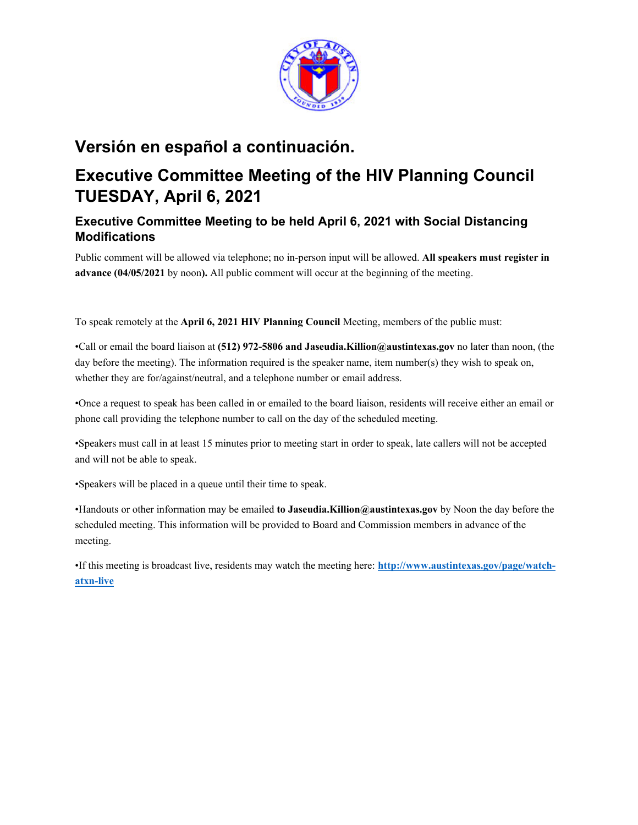

# **Versión en español a continuación.**

# **Executive Committee Meeting of the HIV Planning Council TUESDAY, April 6, 2021**

# **Executive Committee Meeting to be held April 6, 2021 with Social Distancing Modifications**

Public comment will be allowed via telephone; no in-person input will be allowed. **All speakers must register in advance (04/05/2021** by noon**).** All public comment will occur at the beginning of the meeting.

To speak remotely at the **April 6, 2021 HIV Planning Council** Meeting, members of the public must:

•Call or email the board liaison at **(512) 972-5806 and Jaseudia.Killion@austintexas.gov** no later than noon, (the day before the meeting). The information required is the speaker name, item number(s) they wish to speak on, whether they are for/against/neutral, and a telephone number or email address.

•Once a request to speak has been called in or emailed to the board liaison, residents will receive either an email or phone call providing the telephone number to call on the day of the scheduled meeting.

•Speakers must call in at least 15 minutes prior to meeting start in order to speak, late callers will not be accepted and will not be able to speak.

•Speakers will be placed in a queue until their time to speak.

•Handouts or other information may be emailed **to Jaseudia.Killion@austintexas.gov** by Noon the day before the scheduled meeting. This information will be provided to Board and Commission members in advance of the meeting.

•If this meeting is broadcast live, residents may watch the meeting here: **http://www.austintexas.gov/page/watchatxn-live**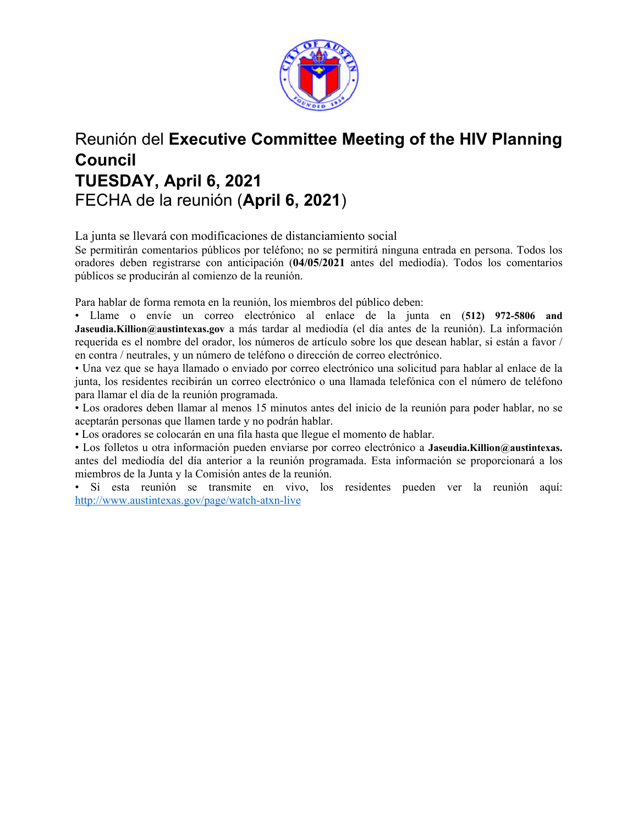

# Reunión del **Executive Committee Meeting of the HIV Planning Council TUESDAY, April 6, 2021**  FECHA de la reunión (**April 6, 2021**)

La junta se llevará con modificaciones de distanciamiento social

Se permitirán comentarios públicos por teléfono; no se permitirá ninguna entrada en persona. Todos los oradores deben registrarse con anticipación (**04/05/2021** antes del mediodía). Todos los comentarios públicos se producirán al comienzo de la reunión.

Para hablar de forma remota en la reunión, los miembros del público deben:

• Llame o envíe un correo electrónico al enlace de la junta en (**512) 972-5806 and Jaseudia.Killion@austintexas.gov** a más tardar al mediodía (el día antes de la reunión). La información requerida es el nombre del orador, los números de artículo sobre los que desean hablar, si están a favor / en contra / neutrales, y un número de teléfono o dirección de correo electrónico.

• Una vez que se haya llamado o enviado por correo electrónico una solicitud para hablar al enlace de la junta, los residentes recibirán un correo electrónico o una llamada telefónica con el número de teléfono para llamar el día de la reunión programada.

• Los oradores deben llamar al menos 15 minutos antes del inicio de la reunión para poder hablar, no se aceptarán personas que llamen tarde y no podrán hablar.

• Los oradores se colocarán en una fila hasta que llegue el momento de hablar.

• Los folletos u otra información pueden enviarse por correo electrónico a **Jaseudia.Killion@austintexas.** antes del mediodía del día anterior a la reunión programada. Esta información se proporcionará a los miembros de la Junta y la Comisión antes de la reunión.

• Si esta reunión se transmite en vivo, los residentes pueden ver la reunión aquí: http://www.austintexas.gov/page/watch-atxn-live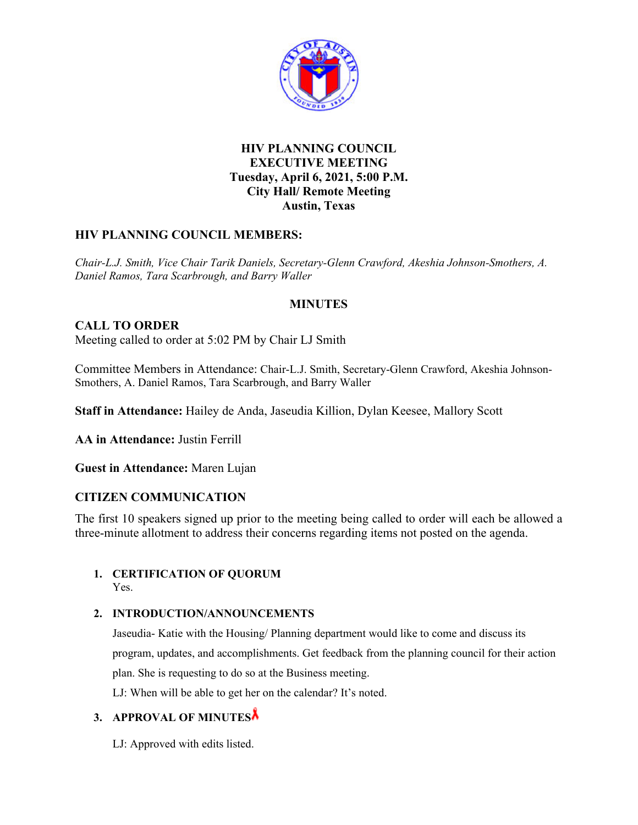

# **HIV PLANNING COUNCIL EXECUTIVE MEETING Tuesday, April 6, 2021, 5:00 P.M. City Hall/ Remote Meeting Austin, Texas**

# **HIV PLANNING COUNCIL MEMBERS:**

*Chair-L.J. Smith, Vice Chair Tarik Daniels, Secretary-Glenn Crawford, Akeshia Johnson-Smothers, A. Daniel Ramos, Tara Scarbrough, and Barry Waller* 

# **MINUTES**

# **CALL TO ORDER**

Meeting called to order at 5:02 PM by Chair LJ Smith

Committee Members in Attendance: Chair-L.J. Smith, Secretary-Glenn Crawford, Akeshia Johnson-Smothers, A. Daniel Ramos, Tara Scarbrough, and Barry Waller

**Staff in Attendance:** Hailey de Anda, Jaseudia Killion, Dylan Keesee, Mallory Scott

**AA in Attendance:** Justin Ferrill

**Guest in Attendance:** Maren Lujan

# **CITIZEN COMMUNICATION**

The first 10 speakers signed up prior to the meeting being called to order will each be allowed a three-minute allotment to address their concerns regarding items not posted on the agenda.

#### **1. CERTIFICATION OF QUORUM**  Yes.

# **2. INTRODUCTION/ANNOUNCEMENTS**

Jaseudia- Katie with the Housing/ Planning department would like to come and discuss its program, updates, and accomplishments. Get feedback from the planning council for their action plan. She is requesting to do so at the Business meeting.

LJ: When will be able to get her on the calendar? It's noted.

# **3. APPROVAL OF MINUTES**

LJ: Approved with edits listed.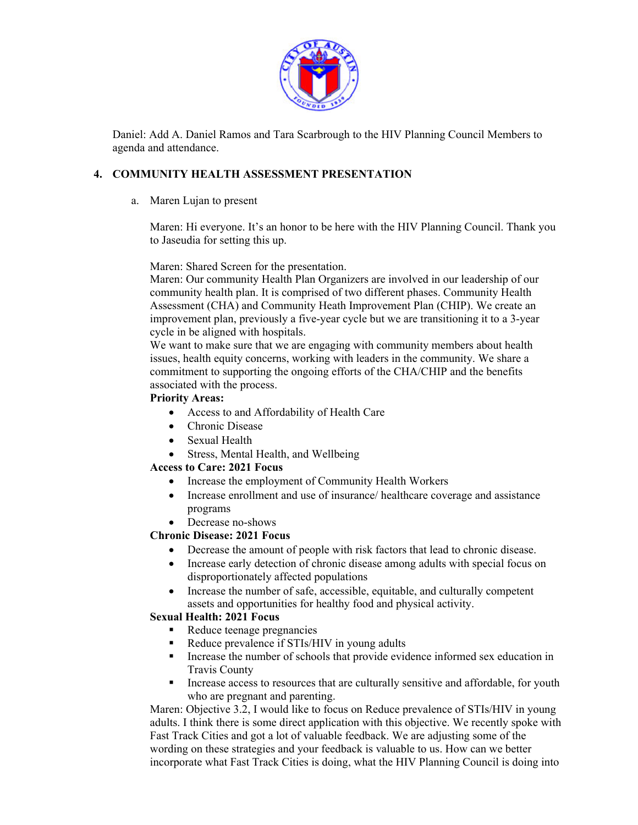

Daniel: Add A. Daniel Ramos and Tara Scarbrough to the HIV Planning Council Members to agenda and attendance.

#### **4. COMMUNITY HEALTH ASSESSMENT PRESENTATION**

a. Maren Lujan to present

Maren: Hi everyone. It's an honor to be here with the HIV Planning Council. Thank you to Jaseudia for setting this up.

Maren: Shared Screen for the presentation.

Maren: Our community Health Plan Organizers are involved in our leadership of our community health plan. It is comprised of two different phases. Community Health Assessment (CHA) and Community Heath Improvement Plan (CHIP). We create an improvement plan, previously a five-year cycle but we are transitioning it to a 3-year cycle in be aligned with hospitals.

We want to make sure that we are engaging with community members about health issues, health equity concerns, working with leaders in the community. We share a commitment to supporting the ongoing efforts of the CHA/CHIP and the benefits associated with the process.

#### **Priority Areas:**

- Access to and Affordability of Health Care
- Chronic Disease
- Sexual Health
- Stress, Mental Health, and Wellbeing

#### **Access to Care: 2021 Focus**

- Increase the employment of Community Health Workers
- Increase enrollment and use of insurance/ healthcare coverage and assistance programs
- Decrease no-shows

#### **Chronic Disease: 2021 Focus**

- Decrease the amount of people with risk factors that lead to chronic disease.
- Increase early detection of chronic disease among adults with special focus on disproportionately affected populations
- Increase the number of safe, accessible, equitable, and culturally competent assets and opportunities for healthy food and physical activity.

#### **Sexual Health: 2021 Focus**

- Reduce teenage pregnancies
- Reduce prevalence if STIs/HIV in young adults
- Increase the number of schools that provide evidence informed sex education in Travis County
- Increase access to resources that are culturally sensitive and affordable, for youth who are pregnant and parenting.

Maren: Objective 3.2, I would like to focus on Reduce prevalence of STIs/HIV in young adults. I think there is some direct application with this objective. We recently spoke with Fast Track Cities and got a lot of valuable feedback. We are adjusting some of the wording on these strategies and your feedback is valuable to us. How can we better incorporate what Fast Track Cities is doing, what the HIV Planning Council is doing into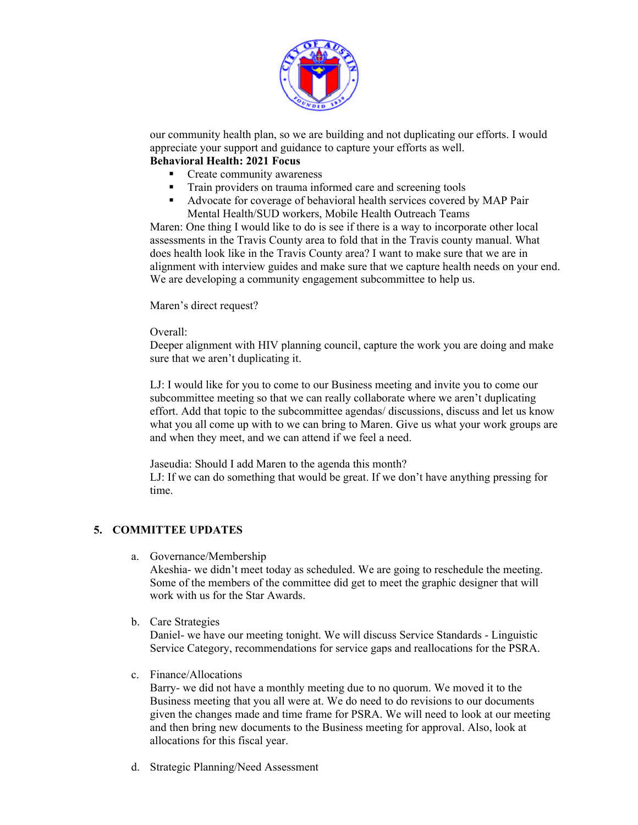

our community health plan, so we are building and not duplicating our efforts. I would appreciate your support and guidance to capture your efforts as well.

# **Behavioral Health: 2021 Focus**

- Create community awareness
- Train providers on trauma informed care and screening tools
- Advocate for coverage of behavioral health services covered by MAP Pair Mental Health/SUD workers, Mobile Health Outreach Teams

Maren: One thing I would like to do is see if there is a way to incorporate other local assessments in the Travis County area to fold that in the Travis county manual. What does health look like in the Travis County area? I want to make sure that we are in alignment with interview guides and make sure that we capture health needs on your end. We are developing a community engagement subcommittee to help us.

Maren's direct request?

#### Overall:

Deeper alignment with HIV planning council, capture the work you are doing and make sure that we aren't duplicating it.

LJ: I would like for you to come to our Business meeting and invite you to come our subcommittee meeting so that we can really collaborate where we aren't duplicating effort. Add that topic to the subcommittee agendas/ discussions, discuss and let us know what you all come up with to we can bring to Maren. Give us what your work groups are and when they meet, and we can attend if we feel a need.

Jaseudia: Should I add Maren to the agenda this month? LJ: If we can do something that would be great. If we don't have anything pressing for time.

#### **5. COMMITTEE UPDATES**

a. Governance/Membership

Akeshia- we didn't meet today as scheduled. We are going to reschedule the meeting. Some of the members of the committee did get to meet the graphic designer that will work with us for the Star Awards.

b. Care Strategies

Daniel- we have our meeting tonight. We will discuss Service Standards - Linguistic Service Category, recommendations for service gaps and reallocations for the PSRA.

c. Finance/Allocations

Barry- we did not have a monthly meeting due to no quorum. We moved it to the Business meeting that you all were at. We do need to do revisions to our documents given the changes made and time frame for PSRA. We will need to look at our meeting and then bring new documents to the Business meeting for approval. Also, look at allocations for this fiscal year.

d. Strategic Planning/Need Assessment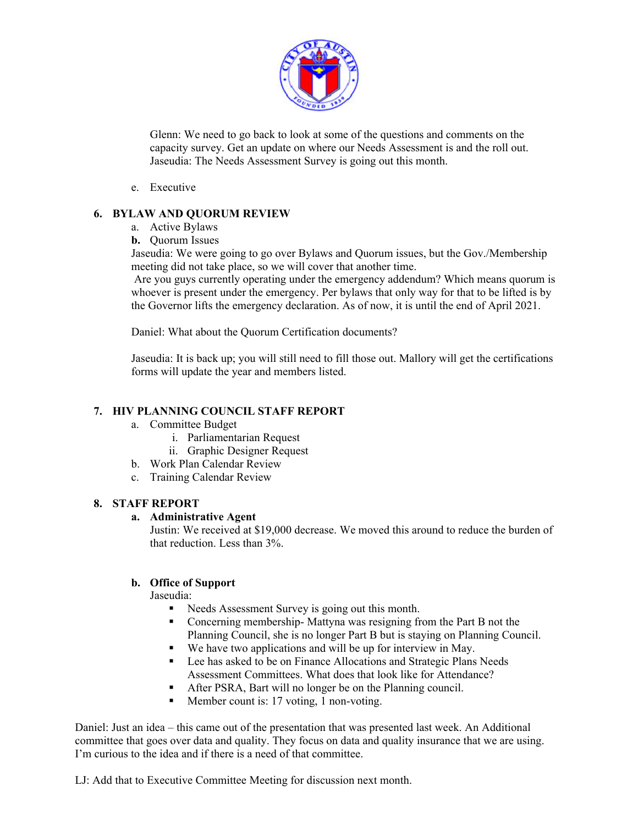

Glenn: We need to go back to look at some of the questions and comments on the capacity survey. Get an update on where our Needs Assessment is and the roll out. Jaseudia: The Needs Assessment Survey is going out this month.

e. Executive

#### **6. BYLAW AND QUORUM REVIEW**

- a. Active Bylaws
- **b.** Quorum Issues

Jaseudia: We were going to go over Bylaws and Quorum issues, but the Gov./Membership meeting did not take place, so we will cover that another time.

 Are you guys currently operating under the emergency addendum? Which means quorum is whoever is present under the emergency. Per bylaws that only way for that to be lifted is by the Governor lifts the emergency declaration. As of now, it is until the end of April 2021.

Daniel: What about the Quorum Certification documents?

Jaseudia: It is back up; you will still need to fill those out. Mallory will get the certifications forms will update the year and members listed.

#### **7. HIV PLANNING COUNCIL STAFF REPORT**

- a. Committee Budget
	- i. Parliamentarian Request
	- ii. Graphic Designer Request
- b. Work Plan Calendar Review
- c. Training Calendar Review

#### **8. STAFF REPORT**

#### **a. Administrative Agent**

Justin: We received at \$19,000 decrease. We moved this around to reduce the burden of that reduction. Less than 3%.

#### **b. Office of Support**

Jaseudia:

- Needs Assessment Survey is going out this month.
- Concerning membership- Mattyna was resigning from the Part B not the Planning Council, she is no longer Part B but is staying on Planning Council.
- We have two applications and will be up for interview in May.
- Lee has asked to be on Finance Allocations and Strategic Plans Needs Assessment Committees. What does that look like for Attendance?
- After PSRA, Bart will no longer be on the Planning council.
- Member count is: 17 voting, 1 non-voting.

Daniel: Just an idea – this came out of the presentation that was presented last week. An Additional committee that goes over data and quality. They focus on data and quality insurance that we are using. I'm curious to the idea and if there is a need of that committee.

LJ: Add that to Executive Committee Meeting for discussion next month.